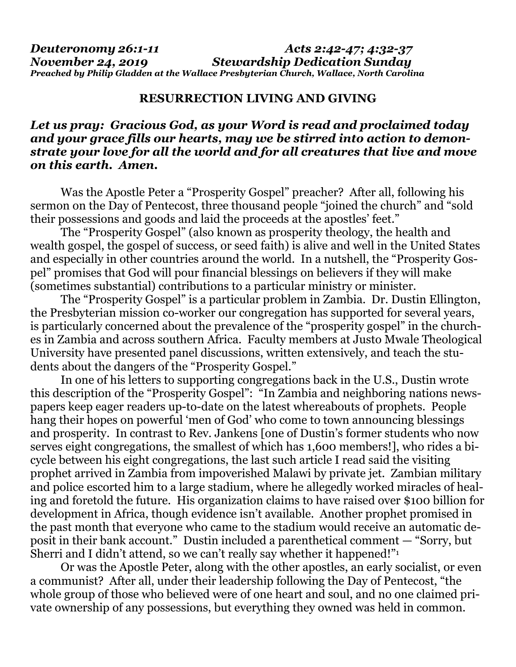## **RESURRECTION LIVING AND GIVING**

## *Let us pray: Gracious God, as your Word is read and proclaimed today and your grace fills our hearts, may we be stirred into action to demonstrate your love for all the world and for all creatures that live and move on this earth. Amen.*

Was the Apostle Peter a "Prosperity Gospel" preacher? After all, following his sermon on the Day of Pentecost, three thousand people "joined the church" and "sold their possessions and goods and laid the proceeds at the apostles' feet."

The "Prosperity Gospel" (also known as prosperity theology, the health and wealth gospel, the gospel of success, or seed faith) is alive and well in the United States and especially in other countries around the world. In a nutshell, the "Prosperity Gospel" promises that God will pour financial blessings on believers if they will make (sometimes substantial) contributions to a particular ministry or minister.

The "Prosperity Gospel" is a particular problem in Zambia. Dr. Dustin Ellington, the Presbyterian mission co-worker our congregation has supported for several years, is particularly concerned about the prevalence of the "prosperity gospel" in the churches in Zambia and across southern Africa. Faculty members at Justo Mwale Theological University have presented panel discussions, written extensively, and teach the students about the dangers of the "Prosperity Gospel."

In one of his letters to supporting congregations back in the U.S., Dustin wrote this description of the "Prosperity Gospel": "In Zambia and neighboring nations newspapers keep eager readers up-to-date on the latest whereabouts of prophets. People hang their hopes on powerful 'men of God' who come to town announcing blessings and prosperity. In contrast to Rev. Jankens [one of Dustin's former students who now serves eight congregations, the smallest of which has 1,600 members!], who rides a bicycle between his eight congregations, the last such article I read said the visiting prophet arrived in Zambia from impoverished Malawi by private jet. Zambian military and police escorted him to a large stadium, where he allegedly worked miracles of healing and foretold the future. His organization claims to have raised over \$100 billion for development in Africa, though evidence isn't available. Another prophet promised in the past month that everyone who came to the stadium would receive an automatic deposit in their bank account." Dustin included a parenthetical comment — "Sorry, but Sherri and I didn't attend, so we can't really say whether it happened!"<sup>1</sup>

Or was the Apostle Peter, along with the other apostles, an early socialist, or even a communist? After all, under their leadership following the Day of Pentecost, "the whole group of those who believed were of one heart and soul, and no one claimed private ownership of any possessions, but everything they owned was held in common.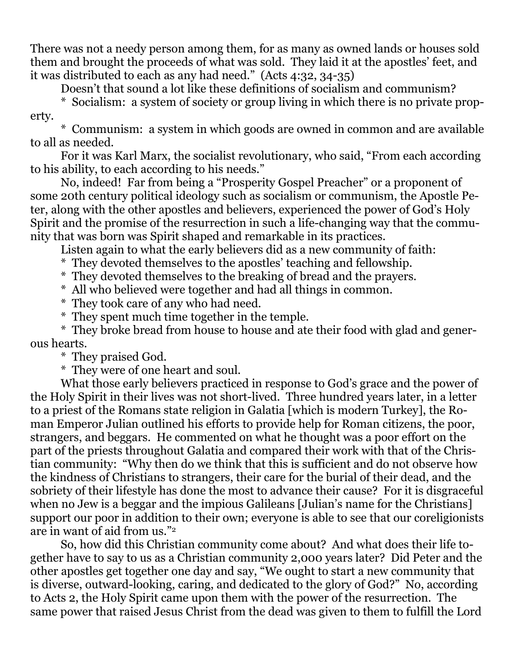There was not a needy person among them, for as many as owned lands or houses sold them and brought the proceeds of what was sold. They laid it at the apostles' feet, and it was distributed to each as any had need." (Acts 4:32, 34-35)

Doesn't that sound a lot like these definitions of socialism and communism?

\* Socialism: a system of society or group living in which there is no private property.

\* Communism: a system in which goods are owned in common and are available to all as needed.

For it was Karl Marx, the socialist revolutionary, who said, "From each according to his ability, to each according to his needs."

No, indeed! Far from being a "Prosperity Gospel Preacher" or a proponent of some 20th century political ideology such as socialism or communism, the Apostle Peter, along with the other apostles and believers, experienced the power of God's Holy Spirit and the promise of the resurrection in such a life-changing way that the community that was born was Spirit shaped and remarkable in its practices.

Listen again to what the early believers did as a new community of faith:

They devoted themselves to the apostles' teaching and fellowship.

- \* They devoted themselves to the breaking of bread and the prayers.
- \* All who believed were together and had all things in common.
- \* They took care of any who had need.
- \* They spent much time together in the temple.

\* They broke bread from house to house and ate their food with glad and generous hearts.

\* They praised God.

\* They were of one heart and soul.

What those early believers practiced in response to God's grace and the power of the Holy Spirit in their lives was not short-lived. Three hundred years later, in a letter to a priest of the Romans state religion in Galatia [which is modern Turkey], the Roman Emperor Julian outlined his efforts to provide help for Roman citizens, the poor, strangers, and beggars. He commented on what he thought was a poor effort on the part of the priests throughout Galatia and compared their work with that of the Christian community: "Why then do we think that this is sufficient and do not observe how the kindness of Christians to strangers, their care for the burial of their dead, and the sobriety of their lifestyle has done the most to advance their cause? For it is disgraceful when no Jew is a beggar and the impious Galileans [Julian's name for the Christians] support our poor in addition to their own; everyone is able to see that our coreligionists are in want of aid from us."<sup>2</sup>

So, how did this Christian community come about? And what does their life together have to say to us as a Christian community 2,000 years later? Did Peter and the other apostles get together one day and say, "We ought to start a new community that is diverse, outward-looking, caring, and dedicated to the glory of God?" No, according to Acts 2, the Holy Spirit came upon them with the power of the resurrection. The same power that raised Jesus Christ from the dead was given to them to fulfill the Lord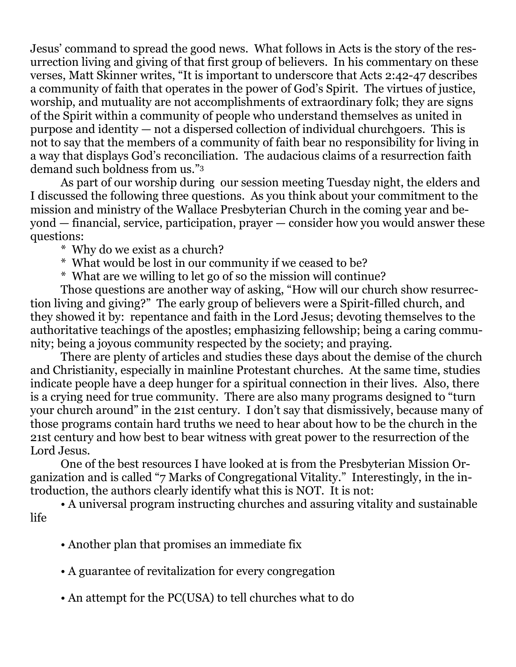Jesus' command to spread the good news. What follows in Acts is the story of the resurrection living and giving of that first group of believers. In his commentary on these verses, Matt Skinner writes, "It is important to underscore that Acts 2:42-47 describes a community of faith that operates in the power of God's Spirit. The virtues of justice, worship, and mutuality are not accomplishments of extraordinary folk; they are signs of the Spirit within a community of people who understand themselves as united in purpose and identity — not a dispersed collection of individual churchgoers. This is not to say that the members of a community of faith bear no responsibility for living in a way that displays God's reconciliation. The audacious claims of a resurrection faith demand such boldness from us."<sup>3</sup>

As part of our worship during our session meeting Tuesday night, the elders and I discussed the following three questions. As you think about your commitment to the mission and ministry of the Wallace Presbyterian Church in the coming year and beyond — financial, service, participation, prayer — consider how you would answer these questions:

\* Why do we exist as a church?

- \* What would be lost in our community if we ceased to be?
- \* What are we willing to let go of so the mission will continue?

Those questions are another way of asking, "How will our church show resurrection living and giving?" The early group of believers were a Spirit-filled church, and they showed it by: repentance and faith in the Lord Jesus; devoting themselves to the authoritative teachings of the apostles; emphasizing fellowship; being a caring community; being a joyous community respected by the society; and praying.

There are plenty of articles and studies these days about the demise of the church and Christianity, especially in mainline Protestant churches. At the same time, studies indicate people have a deep hunger for a spiritual connection in their lives. Also, there is a crying need for true community. There are also many programs designed to "turn your church around" in the 21st century. I don't say that dismissively, because many of those programs contain hard truths we need to hear about how to be the church in the 21st century and how best to bear witness with great power to the resurrection of the Lord Jesus.

One of the best resources I have looked at is from the Presbyterian Mission Organization and is called "7 Marks of Congregational Vitality." Interestingly, in the introduction, the authors clearly identify what this is NOT. It is not:

• A universal program instructing churches and assuring vitality and sustainable life

- Another plan that promises an immediate fix
- A guarantee of revitalization for every congregation
- An attempt for the PC(USA) to tell churches what to do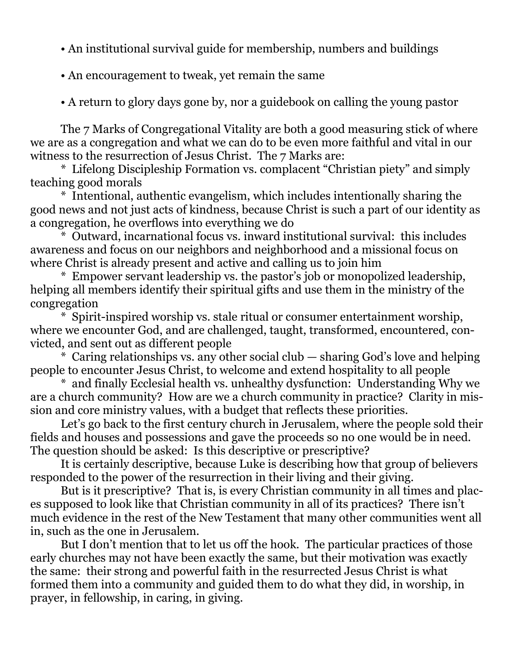- An institutional survival guide for membership, numbers and buildings
- An encouragement to tweak, yet remain the same
- A return to glory days gone by, nor a guidebook on calling the young pastor

The 7 Marks of Congregational Vitality are both a good measuring stick of where we are as a congregation and what we can do to be even more faithful and vital in our witness to the resurrection of Jesus Christ. The 7 Marks are:

\* Lifelong Discipleship Formation vs. complacent "Christian piety" and simply teaching good morals

\* Intentional, authentic evangelism, which includes intentionally sharing the good news and not just acts of kindness, because Christ is such a part of our identity as a congregation, he overflows into everything we do

\* Outward, incarnational focus vs. inward institutional survival: this includes awareness and focus on our neighbors and neighborhood and a missional focus on where Christ is already present and active and calling us to join him

\* Empower servant leadership vs. the pastor's job or monopolized leadership, helping all members identify their spiritual gifts and use them in the ministry of the congregation

\* Spirit-inspired worship vs. stale ritual or consumer entertainment worship, where we encounter God, and are challenged, taught, transformed, encountered, convicted, and sent out as different people

\* Caring relationships vs. any other social club — sharing God's love and helping people to encounter Jesus Christ, to welcome and extend hospitality to all people

\* and finally Ecclesial health vs. unhealthy dysfunction: Understanding Why we are a church community? How are we a church community in practice? Clarity in mission and core ministry values, with a budget that reflects these priorities.

Let's go back to the first century church in Jerusalem, where the people sold their fields and houses and possessions and gave the proceeds so no one would be in need. The question should be asked: Is this descriptive or prescriptive?

It is certainly descriptive, because Luke is describing how that group of believers responded to the power of the resurrection in their living and their giving.

But is it prescriptive? That is, is every Christian community in all times and places supposed to look like that Christian community in all of its practices? There isn't much evidence in the rest of the New Testament that many other communities went all in, such as the one in Jerusalem.

But I don't mention that to let us off the hook. The particular practices of those early churches may not have been exactly the same, but their motivation was exactly the same: their strong and powerful faith in the resurrected Jesus Christ is what formed them into a community and guided them to do what they did, in worship, in prayer, in fellowship, in caring, in giving.